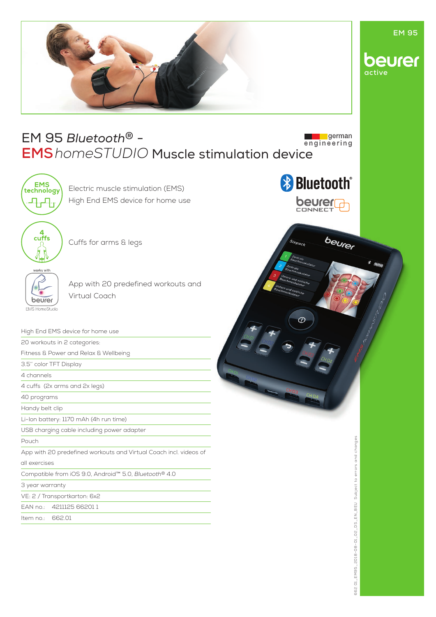